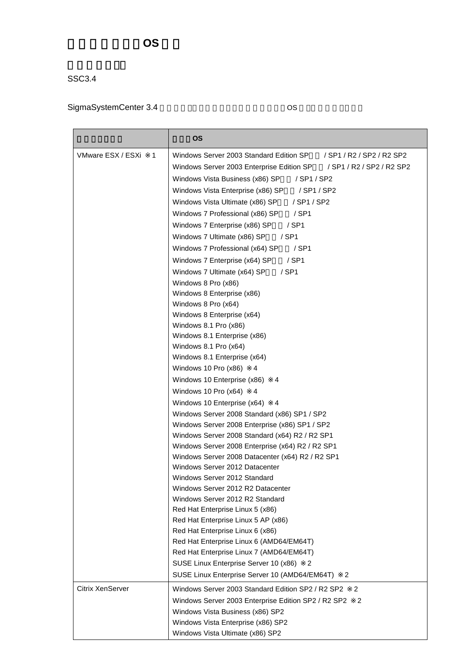## 管理対象ゲスト **OS** 一覧

SSC3.4

## SigmaSystemCenter 3.4 
os

|                         | <b>OS</b>                                                                 |
|-------------------------|---------------------------------------------------------------------------|
| VMware ESX / ESXi       | Windows Server 2003 Standard Edition SP<br>1<br>/ SP1 / R2 / SP2 / R2 SP2 |
|                         | Windows Server 2003 Enterprise Edition SP<br>/ SP1 / R2 / SP2 / R2 SP2    |
|                         | Windows Vista Business (x86) SP<br>/ SP1 / SP2                            |
|                         | Windows Vista Enterprise (x86) SP<br>/ SP1 / SP2                          |
|                         | Windows Vista Ultimate (x86) SP<br>/ SP1 / SP2                            |
|                         | $/$ SP1<br>Windows 7 Professional (x86) SP                                |
|                         | Windows 7 Enterprise (x86) SP<br>/ SP1                                    |
|                         | Windows 7 Ultimate (x86) SP<br>$/$ SP1                                    |
|                         | Windows 7 Professional (x64) SP<br>/ SP1                                  |
|                         |                                                                           |
|                         | Windows 7 Enterprise (x64) SP<br>$/$ SP1                                  |
|                         | Windows 7 Ultimate (x64) SP<br>$/$ SP1                                    |
|                         | Windows 8 Pro (x86)                                                       |
|                         | Windows 8 Enterprise (x86)                                                |
|                         | Windows 8 Pro (x64)<br>Windows 8 Enterprise (x64)                         |
|                         | Windows 8.1 Pro (x86)                                                     |
|                         | Windows 8.1 Enterprise (x86)                                              |
|                         | Windows 8.1 Pro (x64)                                                     |
|                         | Windows 8.1 Enterprise (x64)                                              |
|                         | Windows 10 Pro (x86)<br>4                                                 |
|                         | Windows 10 Enterprise (x86)<br>4                                          |
|                         | Windows 10 Pro (x64)<br>4                                                 |
|                         | Windows 10 Enterprise (x64)<br>4                                          |
|                         | Windows Server 2008 Standard (x86) SP1 / SP2                              |
|                         | Windows Server 2008 Enterprise (x86) SP1 / SP2                            |
|                         | Windows Server 2008 Standard (x64) R2 / R2 SP1                            |
|                         | Windows Server 2008 Enterprise (x64) R2 / R2 SP1                          |
|                         | Windows Server 2008 Datacenter (x64) R2 / R2 SP1                          |
|                         | Windows Server 2012 Datacenter                                            |
|                         | Windows Server 2012 Standard                                              |
|                         | Windows Server 2012 R2 Datacenter                                         |
|                         | Windows Server 2012 R2 Standard                                           |
|                         | Red Hat Enterprise Linux 5 (x86)                                          |
|                         | Red Hat Enterprise Linux 5 AP (x86)                                       |
|                         | Red Hat Enterprise Linux 6 (x86)                                          |
|                         | Red Hat Enterprise Linux 6 (AMD64/EM64T)                                  |
|                         | Red Hat Enterprise Linux 7 (AMD64/EM64T)                                  |
|                         | SUSE Linux Enterprise Server 10 (x86)<br>2                                |
|                         | SUSE Linux Enterprise Server 10 (AMD64/EM64T)<br>2                        |
| <b>Citrix XenServer</b> | Windows Server 2003 Standard Edition SP2 / R2 SP2<br>$\overline{2}$       |
|                         | Windows Server 2003 Enterprise Edition SP2 / R2 SP2<br>2                  |
|                         | Windows Vista Business (x86) SP2                                          |
|                         | Windows Vista Enterprise (x86) SP2                                        |
|                         | Windows Vista Ultimate (x86) SP2                                          |